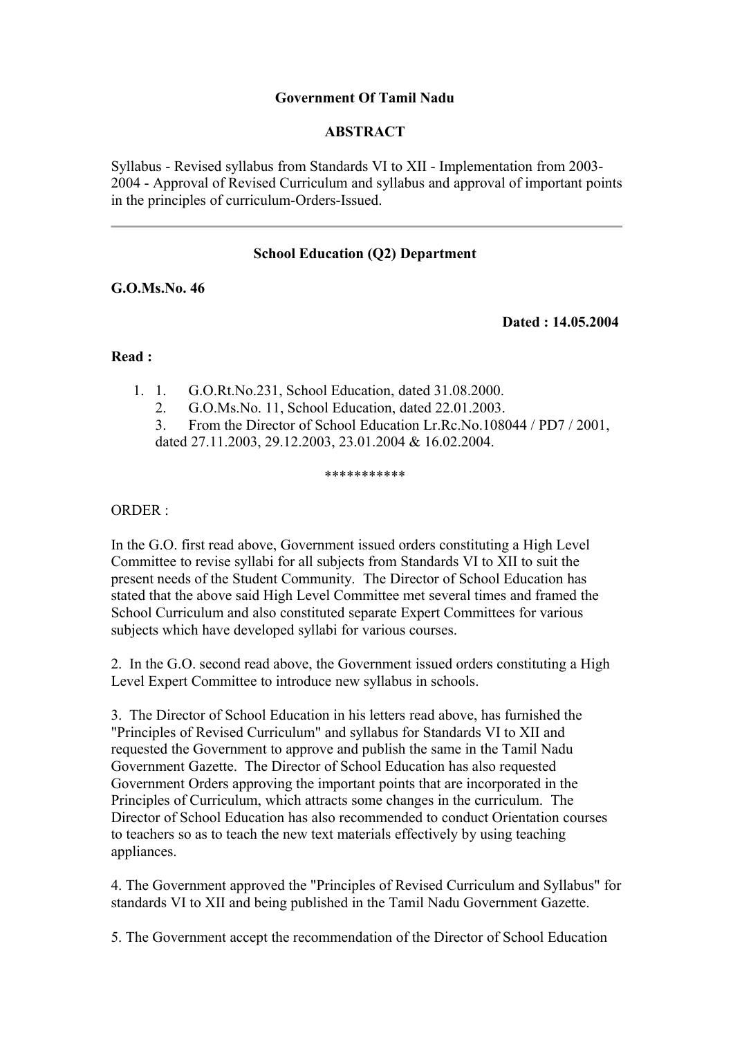## **Government Of Tamil Nadu**

### **ABSTRACT**

Syllabus - Revised syllabus from Standards VI to XII - Implementation from 2003- 2004 - Approval of Revised Curriculum and syllabus and approval of important points in the principles of curriculum-Orders-Issued.

## **School Education (Q2) Department**

### **G.O.Ms.No. 46**

**Dated : 14.05.2004** 

#### **Read :**

- 1. 1. G.O.Rt.No.231, School Education, dated 31.08.2000.
	- 2. G.O.Ms.No. 11, School Education, dated 22.01.2003.
	- 3. From the Director of School Education Lr.Rc.No.108044 / PD7 / 2001,
	- dated 27.11.2003, 29.12.2003, 23.01.2004 & 16.02.2004.

#### \*\*\*\*\*\*\*\*\*\*\*

ORDER :

In the G.O. first read above, Government issued orders constituting a High Level Committee to revise syllabi for all subjects from Standards VI to XII to suit the present needs of the Student Community. The Director of School Education has stated that the above said High Level Committee met several times and framed the School Curriculum and also constituted separate Expert Committees for various subjects which have developed syllabi for various courses.

2. In the G.O. second read above, the Government issued orders constituting a High Level Expert Committee to introduce new syllabus in schools.

3. The Director of School Education in his letters read above, has furnished the "Principles of Revised Curriculum" and syllabus for Standards VI to XII and requested the Government to approve and publish the same in the Tamil Nadu Government Gazette. The Director of School Education has also requested Government Orders approving the important points that are incorporated in the Principles of Curriculum, which attracts some changes in the curriculum. The Director of School Education has also recommended to conduct Orientation courses to teachers so as to teach the new text materials effectively by using teaching appliances.

4. The Government approved the "Principles of Revised Curriculum and Syllabus" for standards VI to XII and being published in the Tamil Nadu Government Gazette.

5. The Government accept the recommendation of the Director of School Education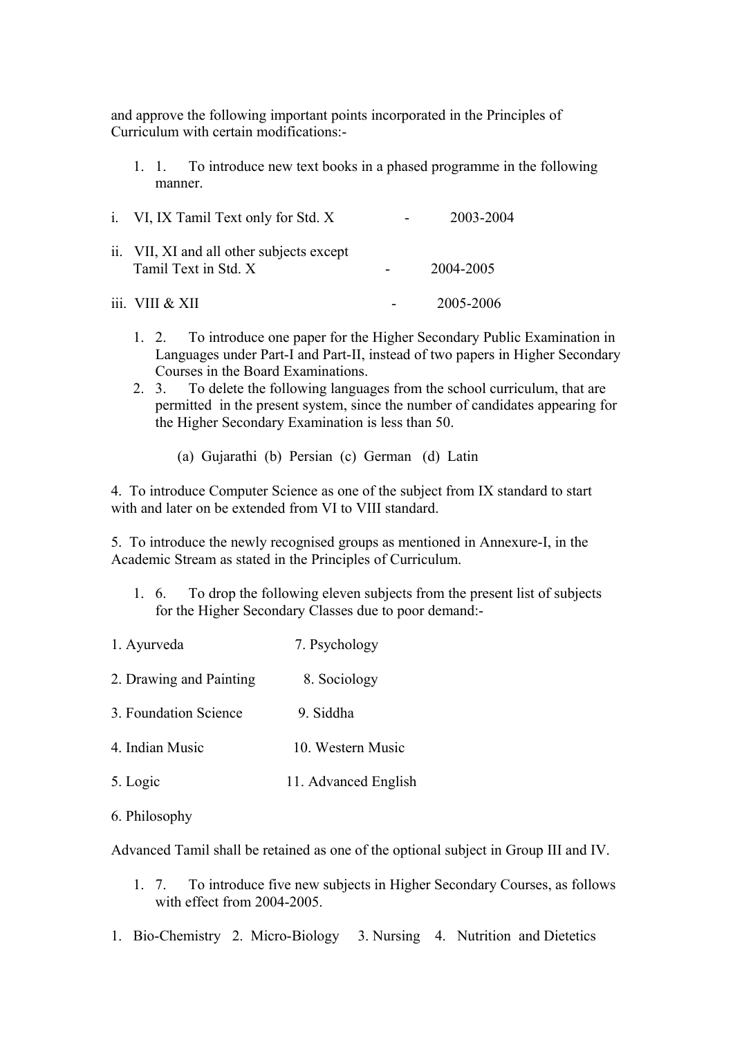and approve the following important points incorporated in the Principles of Curriculum with certain modifications:-

1. 1. To introduce new text books in a phased programme in the following manner.

| i. VI, IX Tamil Text only for Std. X                              | 2003-2004 |
|-------------------------------------------------------------------|-----------|
| ii. VII, XI and all other subjects except<br>Tamil Text in Std. X | 2004-2005 |
| iii. VIII $&$ XII                                                 | 2005-2006 |

- 1. 2. To introduce one paper for the Higher Secondary Public Examination in Languages under Part-I and Part-II, instead of two papers in Higher Secondary Courses in the Board Examinations.
- 2. 3. To delete the following languages from the school curriculum, that are permitted in the present system, since the number of candidates appearing for the Higher Secondary Examination is less than 50.
	- (a) Gujarathi (b) Persian (c) German (d) Latin

4. To introduce Computer Science as one of the subject from IX standard to start with and later on be extended from VI to VIII standard.

5. To introduce the newly recognised groups as mentioned in Annexure-I, in the Academic Stream as stated in the Principles of Curriculum.

- 1. 6. To drop the following eleven subjects from the present list of subjects for the Higher Secondary Classes due to poor demand:-
- 1. Ayurveda 7. Psychology 2. Drawing and Painting 8. Sociology 3. Foundation Science 9. Siddha 4. Indian Music 10. Western Music 5. Logic 11. Advanced English
- 6. Philosophy

Advanced Tamil shall be retained as one of the optional subject in Group III and IV.

- 1. 7. To introduce five new subjects in Higher Secondary Courses, as follows with effect from 2004-2005.
- 1. Bio-Chemistry 2. Micro-Biology 3. Nursing 4. Nutrition and Dietetics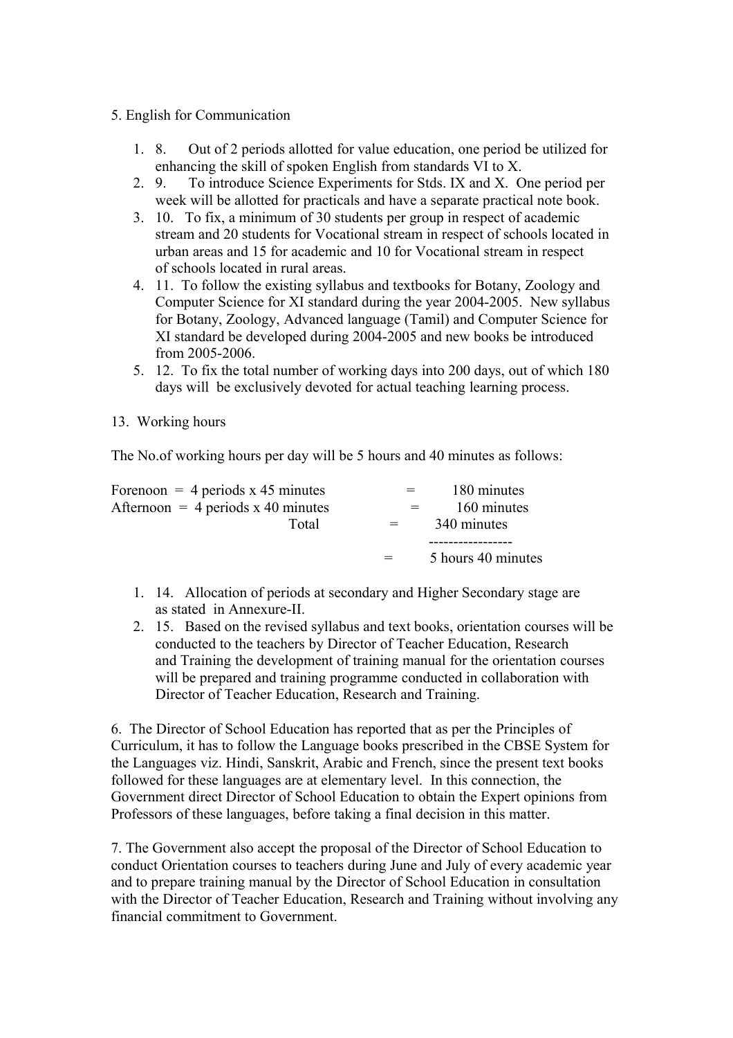- 5. English for Communication
	- 1. 8. Out of 2 periods allotted for value education, one period be utilized for enhancing the skill of spoken English from standards VI to X.
	- 2. 9. To introduce Science Experiments for Stds. IX and X. One period per week will be allotted for practicals and have a separate practical note book.
	- 3. 10. To fix, a minimum of 30 students per group in respect of academic stream and 20 students for Vocational stream in respect of schools located in urban areas and 15 for academic and 10 for Vocational stream in respect of schools located in rural areas.
	- 4. 11. To follow the existing syllabus and textbooks for Botany, Zoology and Computer Science for XI standard during the year 2004-2005. New syllabus for Botany, Zoology, Advanced language (Tamil) and Computer Science for XI standard be developed during 2004-2005 and new books be introduced from 2005-2006.
	- 5. 12. To fix the total number of working days into 200 days, out of which 180 days will be exclusively devoted for actual teaching learning process.
- 13. Working hours

The No.of working hours per day will be 5 hours and 40 minutes as follows:

| Forenoon = 4 periods $x$ 45 minutes  | $=$ $-$ | 180 minutes        |
|--------------------------------------|---------|--------------------|
| Afternoon = 4 periods $x$ 40 minutes |         | 160 minutes        |
| Total                                | $=$     | 340 minutes        |
|                                      |         |                    |
|                                      | $=$     | 5 hours 40 minutes |

- 1. 14. Allocation of periods at secondary and Higher Secondary stage are as stated in Annexure-II.
- 2. 15. Based on the revised syllabus and text books, orientation courses will be conducted to the teachers by Director of Teacher Education, Research and Training the development of training manual for the orientation courses will be prepared and training programme conducted in collaboration with Director of Teacher Education, Research and Training.

6. The Director of School Education has reported that as per the Principles of Curriculum, it has to follow the Language books prescribed in the CBSE System for the Languages viz. Hindi, Sanskrit, Arabic and French, since the present text books followed for these languages are at elementary level. In this connection, the Government direct Director of School Education to obtain the Expert opinions from Professors of these languages, before taking a final decision in this matter.

7. The Government also accept the proposal of the Director of School Education to conduct Orientation courses to teachers during June and July of every academic year and to prepare training manual by the Director of School Education in consultation with the Director of Teacher Education, Research and Training without involving any financial commitment to Government.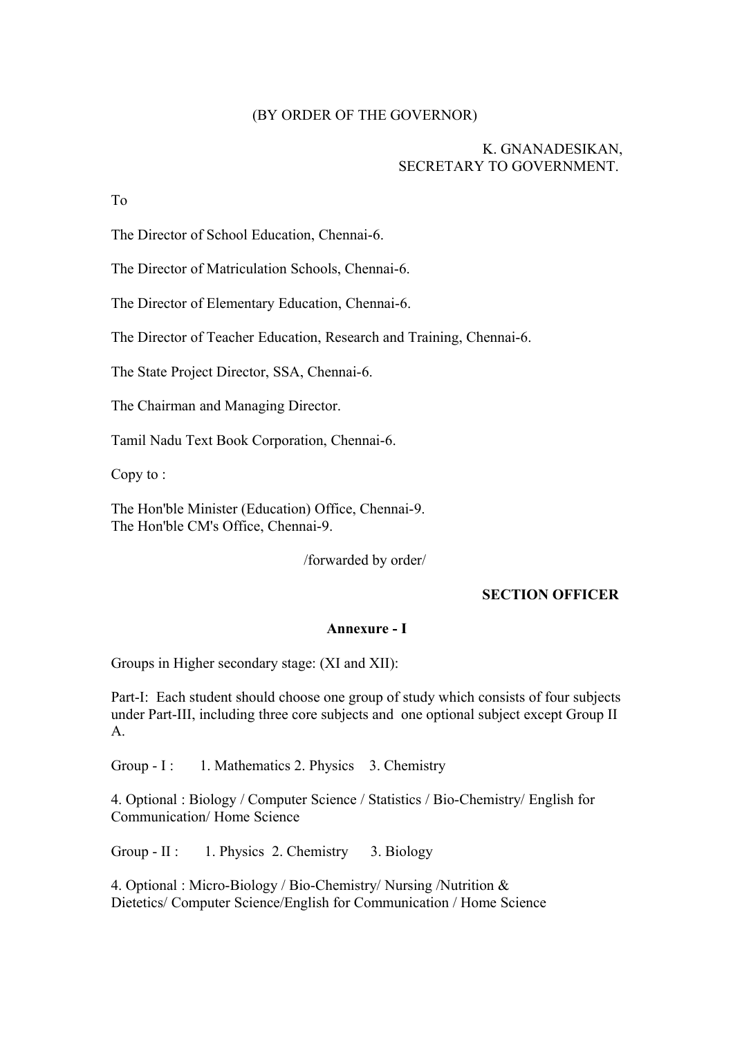### (BY ORDER OF THE GOVERNOR)

### K. GNANADESIKAN, SECRETARY TO GOVERNMENT.

To

The Director of School Education, Chennai-6.

The Director of Matriculation Schools, Chennai-6.

The Director of Elementary Education, Chennai-6.

The Director of Teacher Education, Research and Training, Chennai-6.

The State Project Director, SSA, Chennai-6.

The Chairman and Managing Director.

Tamil Nadu Text Book Corporation, Chennai-6.

Copy to :

The Hon'ble Minister (Education) Office, Chennai-9. The Hon'ble CM's Office, Chennai-9.

/forwarded by order/

### **SECTION OFFICER**

#### **Annexure - I**

Groups in Higher secondary stage: (XI and XII):

Part-I: Each student should choose one group of study which consists of four subjects under Part-III, including three core subjects and one optional subject except Group II A.

Group - I: 1. Mathematics 2. Physics 3. Chemistry

4. Optional : Biology / Computer Science / Statistics / Bio-Chemistry/ English for Communication/ Home Science

Group - II : 1. Physics 2. Chemistry 3. Biology

4. Optional : Micro-Biology / Bio-Chemistry/ Nursing /Nutrition & Dietetics/ Computer Science/English for Communication / Home Science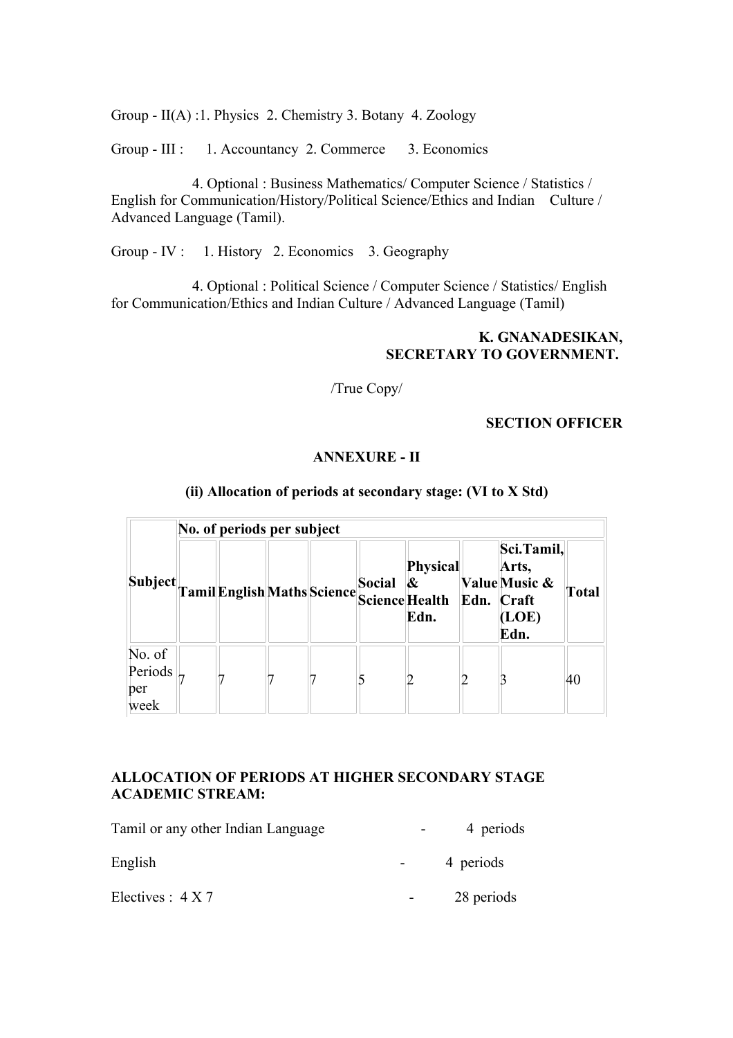Group - II(A) :1. Physics 2. Chemistry 3. Botany 4. Zoology

Group - III : 1. Accountancy 2. Commerce 3. Economics

 4. Optional : Business Mathematics/ Computer Science / Statistics / English for Communication/History/Political Science/Ethics and Indian Culture / Advanced Language (Tamil).

Group - IV : 1. History 2. Economics 3. Geography

4. Optional : Political Science / Computer Science / Statistics/ English for Communication/Ethics and Indian Culture / Advanced Language (Tamil)

### **K. GNANADESIKAN, SECRETARY TO GOVERNMENT.**

/True Copy/

#### **SECTION OFFICER**

#### **ANNEXURE - II**

|                                  | No. of periods per subject |  |  |  |        |                                                                |  |                                                                     |              |  |
|----------------------------------|----------------------------|--|--|--|--------|----------------------------------------------------------------|--|---------------------------------------------------------------------|--------------|--|
| Subject.                         |                            |  |  |  | Social | Physical<br>Tamil English Maths Science Science Health<br>Edn. |  | Sci.Tamil,<br>Arts,<br>Value Music &<br>Edn. Craft<br>(LOE)<br>Edn. | <b>Total</b> |  |
| No. of<br>Periods<br>per<br>week |                            |  |  |  |        |                                                                |  |                                                                     | 40           |  |

#### **(ii) Allocation of periods at secondary stage: (VI to X Std)**

# **ALLOCATION OF PERIODS AT HIGHER SECONDARY STAGE ACADEMIC STREAM:**

| Tamil or any other Indian Language | 4 periods  |
|------------------------------------|------------|
| English                            | 4 periods  |
| Electives : $4 X 7$                | 28 periods |